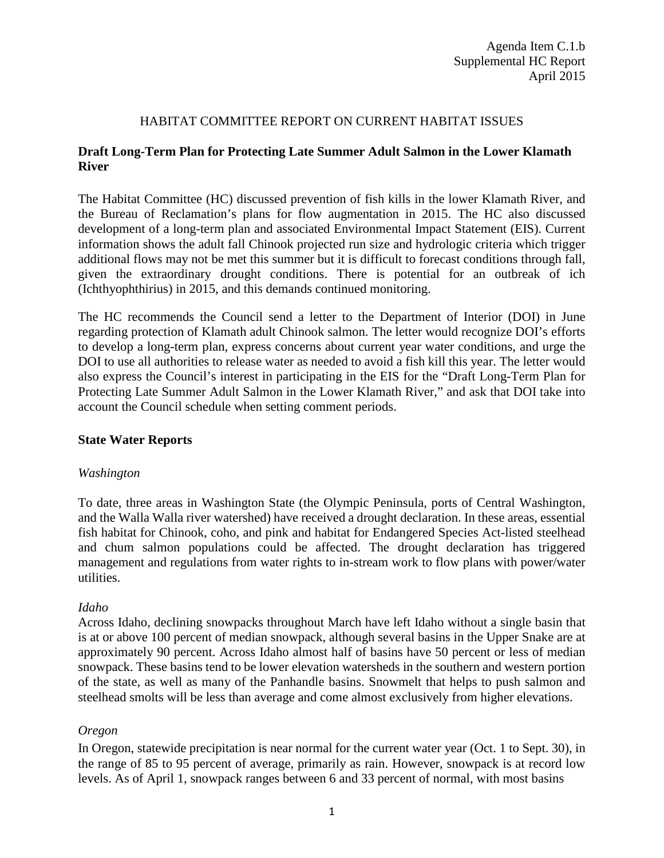### HABITAT COMMITTEE REPORT ON CURRENT HABITAT ISSUES

## **Draft Long-Term Plan for Protecting Late Summer Adult Salmon in the Lower Klamath River**

The Habitat Committee (HC) discussed prevention of fish kills in the lower Klamath River, and the Bureau of Reclamation's plans for flow augmentation in 2015. The HC also discussed development of a long-term plan and associated Environmental Impact Statement (EIS). Current information shows the adult fall Chinook projected run size and hydrologic criteria which trigger additional flows may not be met this summer but it is difficult to forecast conditions through fall, given the extraordinary drought conditions. There is potential for an outbreak of ich (Ichthyophthirius) in 2015, and this demands continued monitoring.

The HC recommends the Council send a letter to the Department of Interior (DOI) in June regarding protection of Klamath adult Chinook salmon. The letter would recognize DOI's efforts to develop a long-term plan, express concerns about current year water conditions, and urge the DOI to use all authorities to release water as needed to avoid a fish kill this year. The letter would also express the Council's interest in participating in the EIS for the "Draft Long-Term Plan for Protecting Late Summer Adult Salmon in the Lower Klamath River," and ask that DOI take into account the Council schedule when setting comment periods.

#### **State Water Reports**

#### *Washington*

To date, three areas in Washington State (the Olympic Peninsula, ports of Central Washington, and the Walla Walla river watershed) have received a drought declaration. In these areas, essential fish habitat for Chinook, coho, and pink and habitat for Endangered Species Act-listed steelhead and chum salmon populations could be affected. The drought declaration has triggered management and regulations from water rights to in-stream work to flow plans with power/water utilities.

#### *Idaho*

Across Idaho, declining snowpacks throughout March have left Idaho without a single basin that is at or above 100 percent of median snowpack, although several basins in the Upper Snake are at approximately 90 percent. Across Idaho almost half of basins have 50 percent or less of median snowpack. These basins tend to be lower elevation watersheds in the southern and western portion of the state, as well as many of the Panhandle basins. Snowmelt that helps to push salmon and steelhead smolts will be less than average and come almost exclusively from higher elevations.

#### *Oregon*

In Oregon, statewide precipitation is near normal for the current water year (Oct. 1 to Sept. 30), in the range of 85 to 95 percent of average, primarily as rain. However, snowpack is at record low levels. As of April 1, snowpack ranges between 6 and 33 percent of normal, with most basins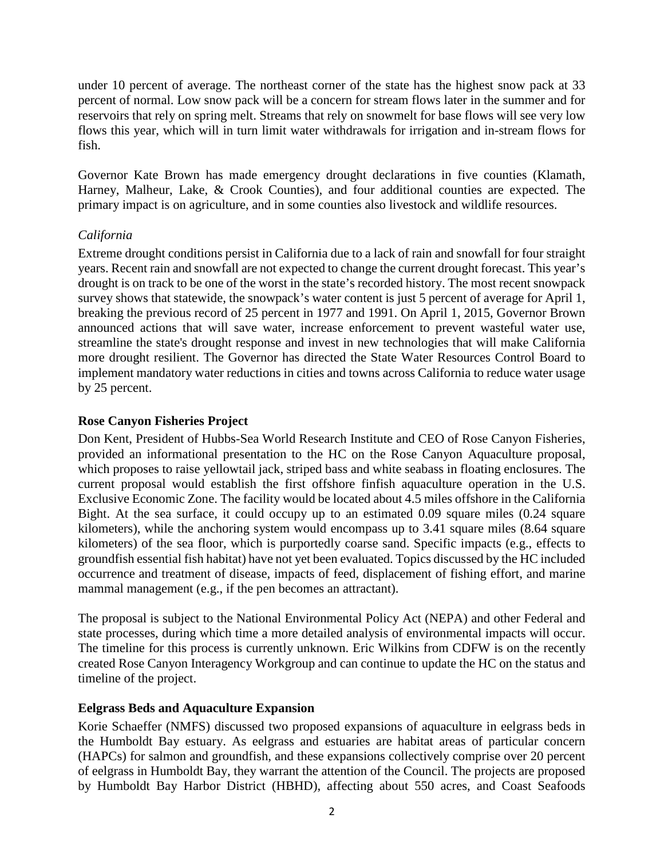under 10 percent of average. The northeast corner of the state has the highest snow pack at 33 percent of normal. Low snow pack will be a concern for stream flows later in the summer and for reservoirs that rely on spring melt. Streams that rely on snowmelt for base flows will see very low flows this year, which will in turn limit water withdrawals for irrigation and in-stream flows for fish.

Governor Kate Brown has made emergency drought declarations in five counties (Klamath, Harney, Malheur, Lake, & Crook Counties), and four additional counties are expected. The primary impact is on agriculture, and in some counties also livestock and wildlife resources.

# *California*

Extreme drought conditions persist in California due to a lack of rain and snowfall for four straight years. Recent rain and snowfall are not expected to change the current drought forecast. This year's drought is on track to be one of the worst in the state's recorded history. The most recent snowpack survey shows that statewide, the snowpack's water content is just 5 percent of average for April 1, breaking the previous record of 25 percent in 1977 and 1991. On April 1, 2015, Governor Brown announced actions that will save water, increase enforcement to prevent wasteful water use, streamline the state's drought response and invest in new technologies that will make California more drought resilient. The Governor has directed the State Water Resources Control Board to implement mandatory water reductions in cities and towns across California to reduce water usage by 25 percent.

### **Rose Canyon Fisheries Project**

Don Kent, President of Hubbs-Sea World Research Institute and CEO of Rose Canyon Fisheries, provided an informational presentation to the HC on the Rose Canyon Aquaculture proposal, which proposes to raise yellowtail jack, striped bass and white seabass in floating enclosures. The current proposal would establish the first offshore finfish aquaculture operation in the U.S. Exclusive Economic Zone. The facility would be located about 4.5 miles offshore in the California Bight. At the sea surface, it could occupy up to an estimated 0.09 square miles (0.24 square kilometers), while the anchoring system would encompass up to 3.41 square miles (8.64 square kilometers) of the sea floor, which is purportedly coarse sand. Specific impacts (e.g., effects to groundfish essential fish habitat) have not yet been evaluated. Topics discussed by the HC included occurrence and treatment of disease, impacts of feed, displacement of fishing effort, and marine mammal management (e.g., if the pen becomes an attractant).

The proposal is subject to the National Environmental Policy Act (NEPA) and other Federal and state processes, during which time a more detailed analysis of environmental impacts will occur. The timeline for this process is currently unknown. Eric Wilkins from CDFW is on the recently created Rose Canyon Interagency Workgroup and can continue to update the HC on the status and timeline of the project.

# **Eelgrass Beds and Aquaculture Expansion**

Korie Schaeffer (NMFS) discussed two proposed expansions of aquaculture in eelgrass beds in the Humboldt Bay estuary. As eelgrass and estuaries are habitat areas of particular concern (HAPCs) for salmon and groundfish, and these expansions collectively comprise over 20 percent of eelgrass in Humboldt Bay, they warrant the attention of the Council. The projects are proposed by Humboldt Bay Harbor District (HBHD), affecting about 550 acres, and Coast Seafoods